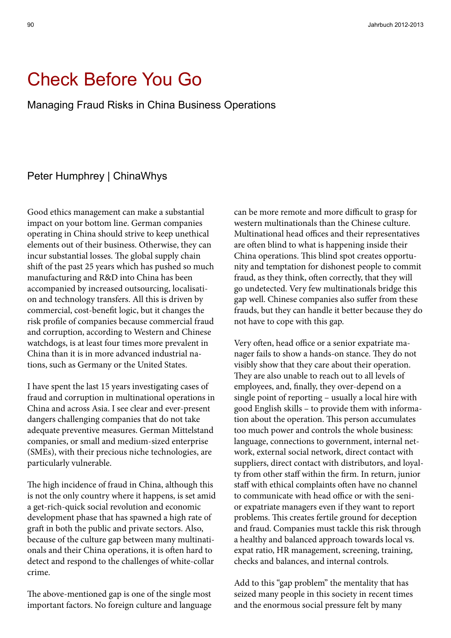# Check Before You Go

Managing Fraud Risks in China Business Operations

# Peter Humphrey | ChinaWhys

Good ethics management can make a substantial impact on your bottom line. German companies operating in China should strive to keep unethical elements out of their business. Otherwise, they can incur substantial losses. The global supply chain shift of the past 25 years which has pushed so much manufacturing and R&D into China has been accompanied by increased outsourcing, localisation and technology transfers. All this is driven by commercial, cost-benefit logic, but it changes the risk profile of companies because commercial fraud and corruption, according to Western and Chinese watchdogs, is at least four times more prevalent in China than it is in more advanced industrial nations, such as Germany or the United States.

I have spent the last 15 years investigating cases of fraud and corruption in multinational operations in China and across Asia. I see clear and ever-present dangers challenging companies that do not take adequate preventive measures. German Mittelstand companies, or small and medium-sized enterprise (SMEs), with their precious niche technologies, are particularly vulnerable.

The high incidence of fraud in China, although this is not the only country where it happens, is set amid a get-rich-quick social revolution and economic development phase that has spawned a high rate of graft in both the public and private sectors. Also, because of the culture gap between many multinationals and their China operations, it is often hard to detect and respond to the challenges of white-collar crime.

The above-mentioned gap is one of the single most important factors. No foreign culture and language can be more remote and more difficult to grasp for western multinationals than the Chinese culture. Multinational head offices and their representatives are often blind to what is happening inside their China operations. This blind spot creates opportunity and temptation for dishonest people to commit fraud, as they think, often correctly, that they will go undetected. Very few multinationals bridge this gap well. Chinese companies also suffer from these frauds, but they can handle it better because they do not have to cope with this gap.

Very often, head office or a senior expatriate manager fails to show a hands-on stance. They do not visibly show that they care about their operation. They are also unable to reach out to all levels of employees, and, finally, they over-depend on a single point of reporting – usually a local hire with good English skills – to provide them with information about the operation. This person accumulates too much power and controls the whole business: language, connections to government, internal network, external social network, direct contact with suppliers, direct contact with distributors, and loyalty from other staff within the firm. In return, junior staff with ethical complaints often have no channel to communicate with head office or with the senior expatriate managers even if they want to report problems. This creates fertile ground for deception and fraud. Companies must tackle this risk through a healthy and balanced approach towards local vs. expat ratio, HR management, screening, training, checks and balances, and internal controls.

Add to this "gap problem" the mentality that has seized many people in this society in recent times and the enormous social pressure felt by many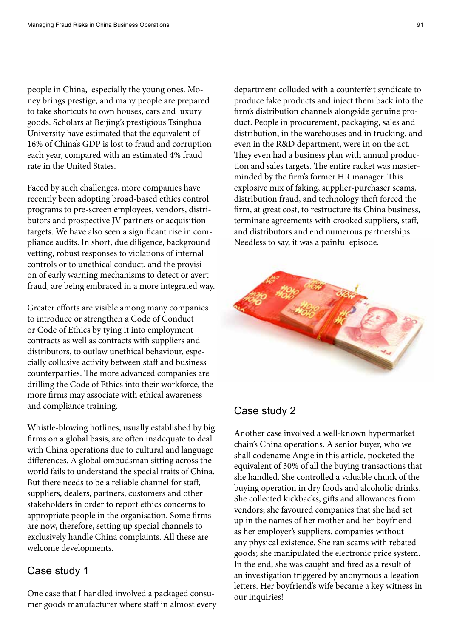people in China, especially the young ones. Money brings prestige, and many people are prepared to take shortcuts to own houses, cars and luxury goods. Scholars at Beijing's prestigious Tsinghua University have estimated that the equivalent of 16% of China's GDP is lost to fraud and corruption each year, compared with an estimated 4% fraud rate in the United States.

Faced by such challenges, more companies have recently been adopting broad-based ethics control programs to pre-screen employees, vendors, distributors and prospective JV partners or acquisition targets. We have also seen a significant rise in compliance audits. In short, due diligence, background vetting, robust responses to violations of internal controls or to unethical conduct, and the provision of early warning mechanisms to detect or avert fraud, are being embraced in a more integrated way.

Greater efforts are visible among many companies to introduce or strengthen a Code of Conduct or Code of Ethics by tying it into employment contracts as well as contracts with suppliers and distributors, to outlaw unethical behaviour, especially collusive activity between staff and business counterparties. The more advanced companies are drilling the Code of Ethics into their workforce, the more firms may associate with ethical awareness and compliance training.

Whistle-blowing hotlines, usually established by big firms on a global basis, are often inadequate to deal with China operations due to cultural and language differences. A global ombudsman sitting across the world fails to understand the special traits of China. But there needs to be a reliable channel for staff, suppliers, dealers, partners, customers and other stakeholders in order to report ethics concerns to appropriate people in the organisation. Some firms are now, therefore, setting up special channels to exclusively handle China complaints. All these are welcome developments.

### Case study 1

One case that I handled involved a packaged consumer goods manufacturer where staff in almost every

department colluded with a counterfeit syndicate to produce fake products and inject them back into the firm's distribution channels alongside genuine product. People in procurement, packaging, sales and distribution, in the warehouses and in trucking, and even in the R&D department, were in on the act. They even had a business plan with annual production and sales targets. The entire racket was masterminded by the firm's former HR manager. This explosive mix of faking, supplier-purchaser scams, distribution fraud, and technology theft forced the firm, at great cost, to restructure its China business, terminate agreements with crooked suppliers, staff, and distributors and end numerous partnerships. Needless to say, it was a painful episode.



# Case study 2

Another case involved a well-known hypermarket chain's China operations. A senior buyer, who we shall codename Angie in this article, pocketed the equivalent of 30% of all the buying transactions that she handled. She controlled a valuable chunk of the buying operation in dry foods and alcoholic drinks. She collected kickbacks, gifts and allowances from vendors; she favoured companies that she had set up in the names of her mother and her boyfriend as her employer's suppliers, companies without any physical existence. She ran scams with rebated goods; she manipulated the electronic price system. In the end, she was caught and fired as a result of an investigation triggered by anonymous allegation letters. Her boyfriend's wife became a key witness in our inquiries!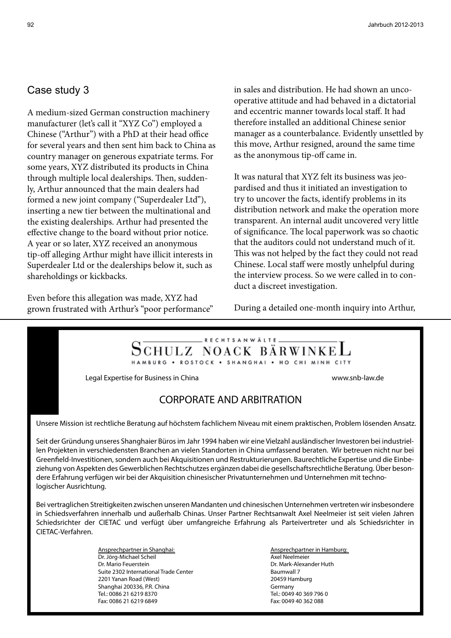# Case study 3

A medium-sized German construction machinery manufacturer (let's call it "XYZ Co") employed a Chinese ("Arthur") with a PhD at their head office for several years and then sent him back to China as country manager on generous expatriate terms. For some years, XYZ distributed its products in China through multiple local dealerships. Then, suddenly, Arthur announced that the main dealers had formed a new joint company ("Superdealer Ltd"), inserting a new tier between the multinational and the existing dealerships. Arthur had presented the effective change to the board without prior notice. A year or so later, XYZ received an anonymous tip-off alleging Arthur might have illicit interests in Superdealer Ltd or the dealerships below it, such as shareholdings or kickbacks.

Even before this allegation was made, XYZ had grown frustrated with Arthur's "poor performance" in sales and distribution. He had shown an uncooperative attitude and had behaved in a dictatorial and eccentric manner towards local staff. It had therefore installed an additional Chinese senior manager as a counterbalance. Evidently unsettled by this move, Arthur resigned, around the same time as the anonymous tip-off came in.

It was natural that XYZ felt its business was jeopardised and thus it initiated an investigation to try to uncover the facts, identify problems in its distribution network and make the operation more transparent. An internal audit uncovered very little of significance. The local paperwork was so chaotic that the auditors could not understand much of it. This was not helped by the fact they could not read Chinese. Local staff were mostly unhelpful during the interview process. So we were called in to conduct a discreet investigation.

During a detailed one-month inquiry into Arthur,

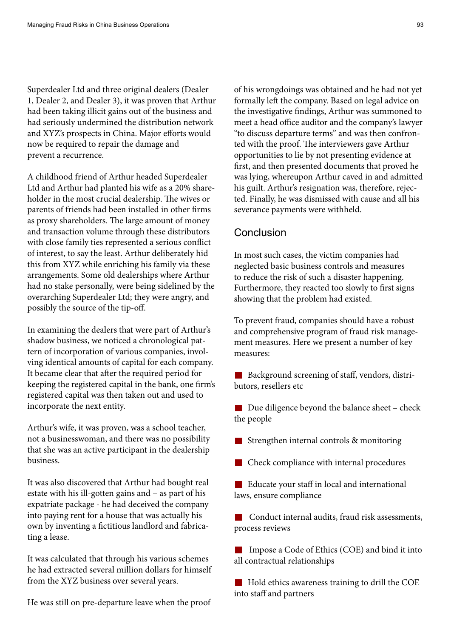Superdealer Ltd and three original dealers (Dealer 1, Dealer 2, and Dealer 3), it was proven that Arthur had been taking illicit gains out of the business and had seriously undermined the distribution network and XYZ's prospects in China. Major efforts would now be required to repair the damage and prevent a recurrence.

A childhood friend of Arthur headed Superdealer Ltd and Arthur had planted his wife as a 20% shareholder in the most crucial dealership. The wives or parents of friends had been installed in other firms as proxy shareholders. The large amount of money and transaction volume through these distributors with close family ties represented a serious conflict of interest, to say the least. Arthur deliberately hid this from XYZ while enriching his family via these arrangements. Some old dealerships where Arthur had no stake personally, were being sidelined by the overarching Superdealer Ltd; they were angry, and possibly the source of the tip-off.

In examining the dealers that were part of Arthur's shadow business, we noticed a chronological pattern of incorporation of various companies, involving identical amounts of capital for each company. It became clear that after the required period for keeping the registered capital in the bank, one firm's registered capital was then taken out and used to incorporate the next entity.

Arthur's wife, it was proven, was a school teacher, not a businesswoman, and there was no possibility that she was an active participant in the dealership business.

It was also discovered that Arthur had bought real estate with his ill-gotten gains and – as part of his expatriate package - he had deceived the company into paying rent for a house that was actually his own by inventing a fictitious landlord and fabricating a lease.

It was calculated that through his various schemes he had extracted several million dollars for himself from the XYZ business over several years.

He was still on pre-departure leave when the proof

of his wrongdoings was obtained and he had not yet formally left the company. Based on legal advice on the investigative findings, Arthur was summoned to meet a head office auditor and the company's lawyer "to discuss departure terms" and was then confronted with the proof. The interviewers gave Arthur opportunities to lie by not presenting evidence at first, and then presented documents that proved he was lying, whereupon Arthur caved in and admitted his guilt. Arthur's resignation was, therefore, rejected. Finally, he was dismissed with cause and all his severance payments were withheld.

#### **Conclusion**

In most such cases, the victim companies had neglected basic business controls and measures to reduce the risk of such a disaster happening. Furthermore, they reacted too slowly to first signs showing that the problem had existed.

To prevent fraud, companies should have a robust and comprehensive program of fraud risk management measures. Here we present a number of key measures:

Background screening of staff, vendors, distributors, resellers etc

■ Due diligence beyond the balance sheet – check the people

Strengthen internal controls & monitoring

Check compliance with internal procedures

Educate your staff in local and international laws, ensure compliance

■ Conduct internal audits, fraud risk assessments, process reviews

 Impose a Code of Ethics (COE) and bind it into all contractual relationships

Hold ethics awareness training to drill the COE into staff and partners